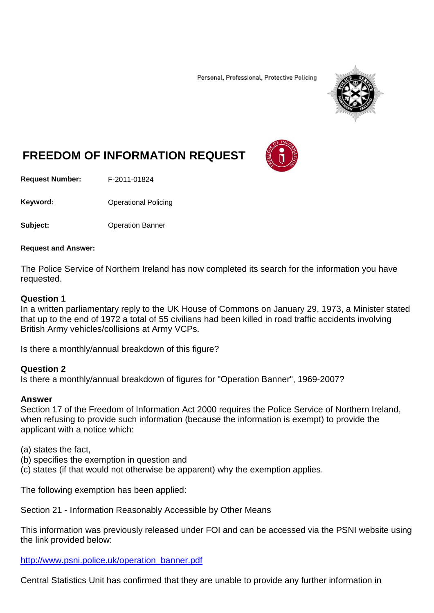Personal, Professional, Protective Policing



# **FREEDOM OF INFORMATION REQUEST**

**Request Number:** F-2011-01824

Keyword: **Contact Contact Contact Contact Contact Contact Contact Contact Contact Contact Contact Contact Contact Contact Contact Contact Contact Contact Contact Contact Contact Contact Contact Contact Contact Contact Cont** 

**Subject:** Operation Banner

#### **Request and Answer:**

The Police Service of Northern Ireland has now completed its search for the information you have requested.

## **Question 1**

In a written parliamentary reply to the UK House of Commons on January 29, 1973, a Minister stated that up to the end of 1972 a total of 55 civilians had been killed in road traffic accidents involving British Army vehicles/collisions at Army VCPs.

Is there a monthly/annual breakdown of this figure?

## **Question 2**

Is there a monthly/annual breakdown of figures for "Operation Banner", 1969-2007?

#### **Answer**

Section 17 of the Freedom of Information Act 2000 requires the Police Service of Northern Ireland, when refusing to provide such information (because the information is exempt) to provide the applicant with a notice which:

(a) states the fact,

- (b) specifies the exemption in question and
- (c) states (if that would not otherwise be apparent) why the exemption applies.

The following exemption has been applied:

Section 21 - Information Reasonably Accessible by Other Means

This information was previously released under FOI and can be accessed via the PSNI website using the link provided below:

[http://www.psni.police.uk/operation\\_banner.pdf](http://www.psni.police.uk/operation_banner.pdf)

Central Statistics Unit has confirmed that they are unable to provide any further information in